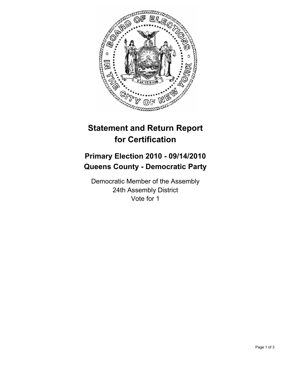

# **Statement and Return Report for Certification**

## **Primary Election 2010 - 09/14/2010 Queens County - Democratic Party**

Democratic Member of the Assembly 24th Assembly District Vote for 1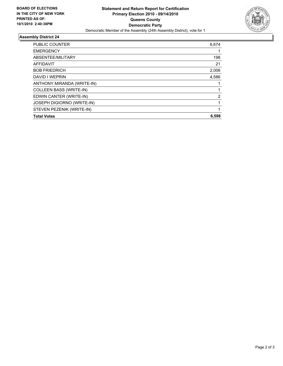

### **Assembly District 24**

| <b>Total Votes</b>                | 6,598 |
|-----------------------------------|-------|
| STEVEN PEZENIK (WRITE-IN)         |       |
| <b>JOSEPH DIGIORNO (WRITE-IN)</b> |       |
| EDWIN CANTER (WRITE-IN)           | 2     |
| COLLEEN BASS (WRITE-IN)           |       |
| ANTHONY MIRANDA (WRITE-IN)        |       |
| DAVID I WEPRIN                    | 4,586 |
| <b>BOB FRIEDRICH</b>              | 2,006 |
| <b>AFFIDAVIT</b>                  | 21    |
| ABSENTEE/MILITARY                 | 198   |
| <b>EMERGENCY</b>                  |       |
| <b>PUBLIC COUNTER</b>             | 6,674 |